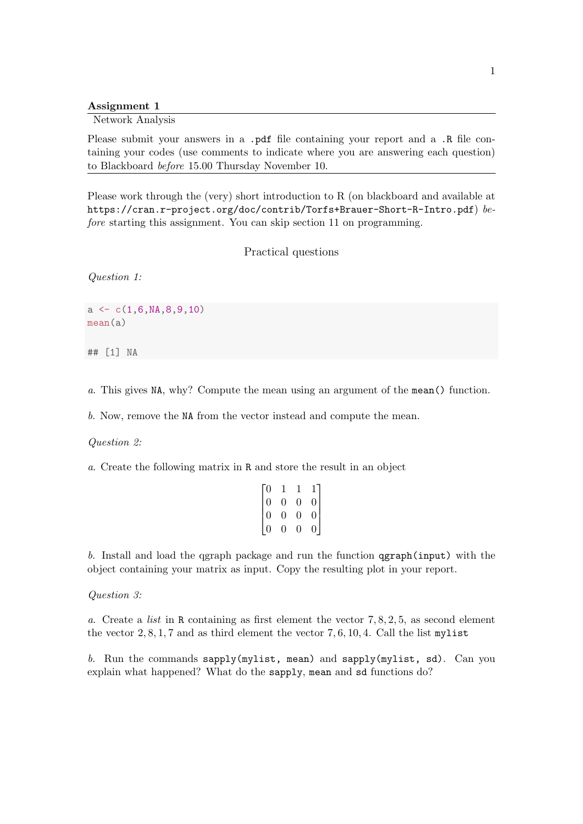Assignment 1

Network Analysis

Please submit your answers in a .pdf file containing your report and a .R file containing your codes (use comments to indicate where you are answering each question) to Blackboard before 15.00 Thursday November 10.

Please work through the (very) short introduction to R (on blackboard and available at https://cran.r-project.org/doc/contrib/Torfs+Brauer-Short-R-Intro.pdf) before starting this assignment. You can skip section 11 on programming.

Practical questions

Question 1:

 $a \leftarrow c(1,6,NA,8,9,10)$ mean(a)

## [1] NA

a. This gives NA, why? Compute the mean using an argument of the mean() function.

b. Now, remove the NA from the vector instead and compute the mean.

Question 2:

a. Create the following matrix in R and store the result in an object

| Го             | 1              | 1              |                                                  |
|----------------|----------------|----------------|--------------------------------------------------|
| $\vert$ 0      | $\overline{0}$ | $\overline{0}$ | $\begin{bmatrix} 1 \\ 0 \\ 0 \\ 0 \end{bmatrix}$ |
| $\vert$ 0      | $\overline{0}$ | $\overline{0}$ |                                                  |
| $\overline{0}$ | 0              | $\overline{0}$ |                                                  |

b. Install and load the qgraph package and run the function qgraph(input) with the object containing your matrix as input. Copy the resulting plot in your report.

Question 3:

a. Create a list in R containing as first element the vector 7, 8, 2, 5, as second element the vector  $2, 8, 1, 7$  and as third element the vector  $7, 6, 10, 4$ . Call the list mylist

b. Run the commands sapply(mylist, mean) and sapply(mylist, sd). Can you explain what happened? What do the sapply, mean and sd functions do?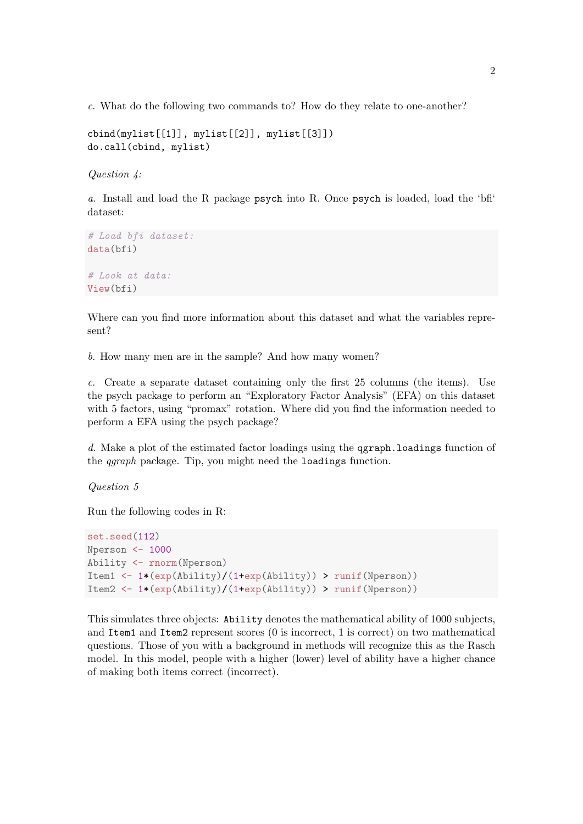c. What do the following two commands to? How do they relate to one-another?

cbind(mylist[[1]], mylist[[2]], mylist[[3]]) do.call(cbind, mylist)

Question 4:

a. Install and load the R package psych into R. Once psych is loaded, load the 'bfi' dataset:

```
# Load bfi dataset:
data(bfi)
# Look at data:
View(bfi)
```
Where can you find more information about this dataset and what the variables represent?

b. How many men are in the sample? And how many women?

c. Create a separate dataset containing only the first 25 columns (the items). Use the psych package to perform an "Exploratory Factor Analysis" (EFA) on this dataset with 5 factors, using "promax" rotation. Where did you find the information needed to perform a EFA using the psych package?

d. Make a plot of the estimated factor loadings using the **ggraph.** loadings function of the qgraph package. Tip, you might need the loadings function.

Question 5

Run the following codes in R:

```
set.seed(112)
Nperson <- 1000
Ability <- rnorm(Nperson)
Item1 <- 1*(exp(Ability)/(1+exp(Ability)) > runif(Nperson))
Item2 <- 1*(exp(Ability)/(1+exp(Ability)) > runif(Nperson))
```
This simulates three objects: Ability denotes the mathematical ability of 1000 subjects, and Item1 and Item2 represent scores (0 is incorrect, 1 is correct) on two mathematical questions. Those of you with a background in methods will recognize this as the Rasch model. In this model, people with a higher (lower) level of ability have a higher chance of making both items correct (incorrect).